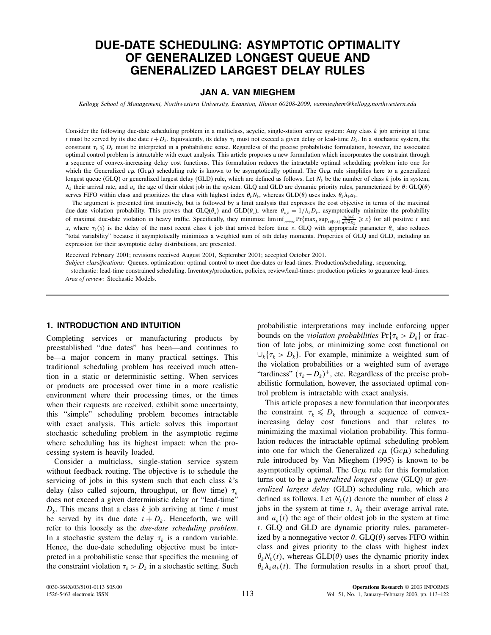# DUE-DATE SCHEDULING: ASYMPTOTIC OPTIMALITY OF GENERALIZED LONGEST QUEUE AND GENERALIZED LARGEST DELAY RULES

# JAN A. VAN MIEGHEM

Kellogg School of Management, Northwestern University, Evanston, Illinois 60208-2009, vanmieghem@kellogg.northwestern.edu

Consider the following due-date scheduling problem in a multiclass, acyclic, single-station service system: Any class  $k$  job arriving at time t must be served by its due date  $t + D_k$ . Equivalently, its delay  $\tau_k$  must not exceed a given delay or lead-time  $D_k$ . In a stochastic system, the constraint  $\tau_k \leq D_k$  must be interpreted in a probabilistic sense. Regardless of the precise probabilistic formulation, however, the associated optimal control problem is intractable with exact analysis. This article proposes a new formulation which incorporates the constraint through a sequence of convex-increasing delay cost functions. This formulation reduces the intractable optimal scheduling problem into one for which the Generalized  $c\mu$  (Gc $\mu$ ) scheduling rule is known to be asymptotically optimal. The Gc $\mu$  rule simplifies here to a generalized longest queue (GLQ) or generalized largest delay (GLD) rule, which are defined as follows. Let  $N_k$  be the number of class k jobs in system,  $\lambda_k$  their arrival rate, and  $a_k$  the age of their oldest job in the system. GLQ and GLD are dynamic priority rules, parameterized by  $\theta$ : GLQ( $\theta$ ) serves FIFO within class and prioritizes the class with highest index  $\theta_k N_k$ , whereas GLD( $\theta$ ) uses index  $\theta_k \lambda_k a_k$ .

The argument is presented first intuitively, but is followed by a limit analysis that expresses the cost objective in terms of the maximal due-date violation probability. This proves that  $GLO(\theta_*)$  and  $GLD(\theta_*)$ , where  $\theta_{*,k} = 1/\lambda_k D_k$ , asymptotically minimize the probability of maximal due-date violation in heavy traffic. Specifically, they minimize  $\liminf_{n\to\infty} Pr\{\max_k \sup_{s\in[0,t]} \frac{\tau_k(ns)}{n^{1/2}D_k} \geq x\}$  for all positive t and x, where  $\tau_k(s)$  is the delay of the most recent class k job that arrived before time s. GLQ with appropriate parameter  $\theta_\alpha$  also reduces "total variability" because it asymptotically minimizes a weighted sum of  $\alpha$ th delay moments. Properties of GLQ and GLD, including an expression for their asymptotic delay distributions, are presented.

Received February 2001; revisions received August 2001, September 2001; accepted October 2001.

Subject classifications: Queues, optimization: optimal control to meet due-dates or lead-times. Production/scheduling, sequencing,

stochastic: lead-time constrained scheduling. Inventory/production, policies, review/lead-times: production policies to guarantee lead-times. Area of review: Stochastic Models.

### 1. INTRODUCTION AND INTUITION

Completing services or manufacturing products by preestablished "due dates" has been—and continues to be—a major concern in many practical settings. This traditional scheduling problem has received much attention in a static or deterministic setting. When services or products are processed over time in a more realistic environment where their processing times, or the times when their requests are received, exhibit some uncertainty, this "simple" scheduling problem becomes intractable with exact analysis. This article solves this important stochastic scheduling problem in the asymptotic regime where scheduling has its highest impact: when the processing system is heavily loaded.

Consider a multiclass, single-station service system without feedback routing. The objective is to schedule the servicing of jobs in this system such that each class  $k$ 's delay (also called sojourn, throughput, or flow time)  $\tau_k$ does not exceed a given deterministic delay or "lead-time"  $D_k$ . This means that a class k job arriving at time t must be served by its due date  $t + D_k$ . Henceforth, we will refer to this loosely as the due-date scheduling problem. In a stochastic system the delay  $\tau_k$  is a random variable. Hence, the due-date scheduling objective must be interpreted in a probabilistic sense that specifies the meaning of the constraint violation  $\tau_k > D_k$  in a stochastic setting. Such probabilistic interpretations may include enforcing upper bounds on the *violation probabilities*  $Pr{\tau_k > D_k}$  or fraction of late jobs, or minimizing some cost functional on  $\bigcup_k {\tau_k} > D_k$ . For example, minimize a weighted sum of the violation probabilities or a weighted sum of average "tardiness"  $(\tau_k - D_k)^+$ , etc. Regardless of the precise probabilistic formulation, however, the associated optimal control problem is intractable with exact analysis.

This article proposes a new formulation that incorporates the constraint  $\tau_k \leq D_k$  through a sequence of convexincreasing delay cost functions and that relates to minimizing the maximal violation probability. This formulation reduces the intractable optimal scheduling problem into one for which the Generalized  $c\mu$  (G $c\mu$ ) scheduling rule introduced by Van Mieghem (1995) is known to be asymptotically optimal. The  $Gc\mu$  rule for this formulation turns out to be a generalized longest queue (GLQ) or generalized largest delay (GLD) scheduling rule, which are defined as follows. Let  $N_k(t)$  denote the number of class k jobs in the system at time t,  $\lambda_k$  their average arrival rate, and  $a_k(t)$  the age of their oldest job in the system at time t. GLQ and GLD are dynamic priority rules, parameterized by a nonnegative vector  $\theta$ . GLQ( $\theta$ ) serves FIFO within class and gives priority to the class with highest index  $\theta_k N_k(t)$ , whereas GLD( $\theta$ ) uses the dynamic priority index  $\theta_k \lambda_k a_k(t)$ . The formulation results in a short proof that,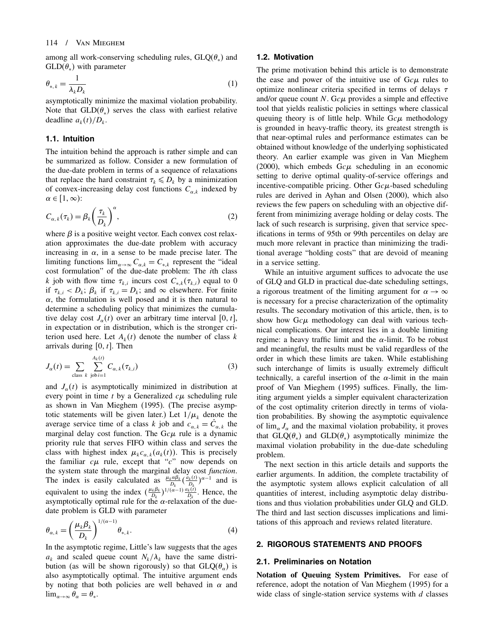among all work-conserving scheduling rules,  $GLQ(\theta_*)$  and  $GLD(\theta_*)$  with parameter

$$
\theta_{*,k} = \frac{1}{\lambda_k D_k} \tag{1}
$$

asymptotically minimize the maximal violation probability. Note that  $GLD(\theta_*)$  serves the class with earliest relative deadline  $a_k(t)/D_k$ .

#### 1.1. Intuition

The intuition behind the approach is rather simple and can be summarized as follow. Consider a new formulation of the due-date problem in terms of a sequence of relaxations that replace the hard constraint  $\tau_k \leq D_k$  by a minimization of convex-increasing delay cost functions  $C_{\alpha,k}$  indexed by  $\alpha \in [1,\infty)$ :

$$
C_{\alpha,k}(\tau_k) = \beta_k \left(\frac{\tau_k}{D_k}\right)^{\alpha},\tag{2}
$$

where  $\beta$  is a positive weight vector. Each convex cost relaxation approximates the due-date problem with accuracy increasing in  $\alpha$ , in a sense to be made precise later. The limiting functions  $\lim_{\alpha \to \infty} C_{\alpha,k} = C_{*,k}$  represent the "ideal cost formulation" of the due-date problem: The ith class k job with flow time  $\tau_{k,i}$  incurs cost  $C_{*,k}(\tau_{k,i})$  equal to 0 if  $\tau_{k,i} < D_k$ ;  $\beta_k$  if  $\tau_{k,i} = D_k$ ; and  $\infty$  elsewhere. For finite  $\alpha$ , the formulation is well posed and it is then natural to determine a scheduling policy that minimizes the cumulative delay cost  $J_{\alpha}(t)$  over an arbitrary time interval [0, t], in expectation or in distribution, which is the stronger criterion used here. Let  $A_k(t)$  denote the number of class k arrivals during  $[0, t]$ . Then

$$
J_{\alpha}(t) = \sum_{\text{class } k} \sum_{\text{job } i=1}^{A_k(t)} C_{\alpha,k}(\tau_{k,i})
$$
\n(3)

and  $J_{\alpha}(t)$  is asymptotically minimized in distribution at every point in time  $t$  by a Generalized  $c\mu$  scheduling rule as shown in Van Mieghem (1995). (The precise asymptotic statements will be given later.) Let  $1/\mu_k$  denote the average service time of a class k job and  $c_{\alpha,k} = \dot{C}_{\alpha,k}$  the marginal delay cost function. The  $Gc\mu$  rule is a dynamic priority rule that serves FIFO within class and serves the class with highest index  $\mu_k c_{\alpha,k}(a_k(t))$ . This is precisely the familiar  $c\mu$  rule, except that " $c$ " now depends on the system state through the marginal delay cost function. The index is easily calculated as  $\frac{\mu_k \alpha \beta_k}{D_k} (\frac{\dot{a}_k(t)}{D_k})^{\alpha-1}$  and is equivalent to using the index  $(\frac{\mu_k \beta_k}{D_k})^{1/(\alpha-1)} \frac{a_k(i)}{D_k}$ . Hence, the asymptotically optimal rule for the  $\alpha$ -relaxation of the duedate problem is GLD with parameter

$$
\theta_{\alpha,k} = \left(\frac{\mu_k \beta_k}{D_k}\right)^{1/(\alpha-1)} \theta_{*,k}.
$$
\n(4)

In the asymptotic regime, Little's law suggests that the ages  $a_k$  and scaled queue count  $N_k/\lambda_k$  have the same distribution (as will be shown rigorously) so that  $GLQ(\theta_\alpha)$  is also asymptotically optimal. The intuitive argument ends by noting that both policies are well behaved in  $\alpha$  and  $\lim_{\alpha\to\infty}\theta_{\alpha}=\theta_{*}.$ 

### 1.2. Motivation

The prime motivation behind this article is to demonstrate the ease and power of the intuitive use of  $Gc\mu$  rules to optimize nonlinear criteria specified in terms of delays  $\tau$ and/or queue count N. Gc $\mu$  provides a simple and effective tool that yields realistic policies in settings where classical queuing theory is of little help. While  $Gc\mu$  methodology is grounded in heavy-traffic theory, its greatest strength is that near-optimal rules and performance estimates can be obtained without knowledge of the underlying sophisticated theory. An earlier example was given in Van Mieghem (2000), which embeds  $Gc\mu$  scheduling in an economic setting to derive optimal quality-of-service offerings and incentive-compatible pricing. Other  $Gc\mu$ -based scheduling rules are derived in Ayhan and Olsen (2000), which also reviews the few papers on scheduling with an objective different from minimizing average holding or delay costs. The lack of such research is surprising, given that service specifications in terms of 95th or 99th percentiles on delay are much more relevant in practice than minimizing the traditional average "holding costs" that are devoid of meaning in a service setting.

While an intuitive argument suffices to advocate the use of GLQ and GLD in practical due-date scheduling settings, a rigorous treatment of the limiting argument for  $\alpha \rightarrow \infty$ is necessary for a precise characterization of the optimality results. The secondary motivation of this article, then, is to show how  $Gc\mu$  methodology can deal with various technical complications. Our interest lies in a double limiting regime: a heavy traffic limit and the  $\alpha$ -limit. To be robust and meaningful, the results must be valid regardless of the order in which these limits are taken. While establishing such interchange of limits is usually extremely difficult technically, a careful insertion of the  $\alpha$ -limit in the main proof of Van Mieghem (1995) suffices. Finally, the limiting argument yields a simpler equivalent characterization of the cost optimality criterion directly in terms of violation probabilities. By showing the asymptotic equivalence of  $\lim_{\alpha} J_{\alpha}$  and the maximal violation probability, it proves that  $GLQ(\theta_*)$  and  $GLD(\theta_*)$  asymptotically minimize the maximal violation probability in the due-date scheduling problem.

The next section in this article details and supports the earlier arguments. In addition, the complete tractability of the asymptotic system allows explicit calculation of all quantities of interest, including asymptotic delay distributions and thus violation probabilities under GLQ and GLD. The third and last section discusses implications and limitations of this approach and reviews related literature.

### 2. RIGOROUS STATEMENTS AND PROOFS

#### 2.1. Preliminaries on Notation

Notation of Queuing System Primitives. For ease of reference, adopt the notation of Van Mieghem (1995) for a wide class of single-station service systems with  $d$  classes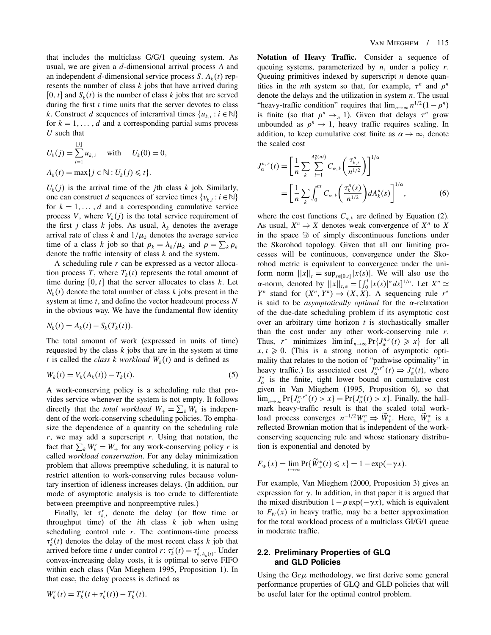that includes the multiclass G/G/1 queuing system. As usual, we are given a d-dimensional arrival process A and an independent d-dimensional service process S.  $A_k(t)$  represents the number of class  $k$  jobs that have arrived during [0, t] and  $S_k(t)$  is the number of class k jobs that are served during the first  $t$  time units that the server devotes to class k. Construct d sequences of interarrival times  $\{u_{k,i} : i \in \mathbb{N}\}\$ for  $k = 1, \ldots, d$  and a corresponding partial sums process  $U$  such that

$$
U_k(j) = \sum_{i=1}^{|j|} u_{k,i} \quad \text{with} \quad U_k(0) = 0,
$$
  

$$
A_k(t) = \max\{j \in \mathbb{N} : U_k(j) \leq t\}.
$$

 $U_k(j)$  is the arrival time of the *j*th class k job. Similarly, one can construct d sequences of service times  $\{v_{k,i} : i \in \mathbb{N}\}\$ for  $k = 1, \ldots, d$  and a corresponding cumulative service process V, where  $V_k(j)$  is the total service requirement of the first *j* class *k* jobs. As usual,  $\lambda_k$  denotes the average arrival rate of class k and  $1/\mu_k$  denotes the average service time of a class k job so that  $\rho_k = \lambda_k / \mu_k$  and  $\rho = \sum_k \rho_k$ denote the traffic intensity of class  $k$  and the system.

A scheduling rule  $r$  can be expressed as a vector allocation process T, where  $T_k(t)$  represents the total amount of time during  $[0, t]$  that the server allocates to class k. Let  $N_k(t)$  denote the total number of class k jobs present in the system at time  $t$ , and define the vector headcount process  $N$ in the obvious way. We have the fundamental flow identity

$$
N_k(t) = A_k(t) - S_k(T_k(t)).
$$

The total amount of work (expressed in units of time) requested by the class  $k$  jobs that are in the system at time t is called the class k workload  $W_k(t)$  and is defined as

$$
W_k(t) = V_k(A_k(t)) - T_k(t).
$$
 (5)

A work-conserving policy is a scheduling rule that provides service whenever the system is not empty. It follows directly that the *total workload*  $W_+ = \sum_k W_k$  is independent of the work-conserving scheduling policies. To emphasize the dependence of a quantity on the scheduling rule  $r$ , we may add a superscript  $r$ . Using that notation, the fact that  $\sum_k W_k^r = W_+$  for any work-conserving policy r is called workload conservation. For any delay minimization problem that allows preemptive scheduling, it is natural to restrict attention to work-conserving rules because voluntary insertion of idleness increases delays. (In addition, our mode of asymptotic analysis is too crude to differentiate between preemptive and nonpreemptive rules.)

Finally, let  $\tau_{k,i}^r$  denote the delay (or flow time or throughput time) of the *i*th class  $k$  job when using scheduling control rule  $r$ . The continuous-time process  $\tau_k^r(t)$  denotes the delay of the most recent class k job that arrived before time t under control r:  $\tau_k^r(t) = \tau_{k,A_k(t)}^r$ . Under convex-increasing delay costs, it is optimal to serve FIFO within each class (Van Mieghem 1995, Proposition 1). In that case, the delay process is defined as

Notation of Heavy Traffic. Consider a sequence of queuing systems, parameterized by  $n$ , under a policy  $r$ . Queuing primitives indexed by superscript  $n$  denote quantities in the *n*th system so that, for example,  $\tau^n$  and  $\rho^n$ denote the delays and the utilization in system  $n$ . The usual "heavy-traffic condition" requires that  $\lim_{n\to\infty} n^{1/2}(1-\rho^n)$ is finite (so that  $\rho^n \rightarrow_n 1$ ). Given that delays  $\tau^n$  grow unbounded as  $\rho^n \to 1$ , heavy traffic requires scaling. In addition, to keep cumulative cost finite as  $\alpha \to \infty$ , denote the scaled cost

$$
J_{\alpha}^{n,r}(t) = \left[\frac{1}{n} \sum_{k} \sum_{i=1}^{A_{k}^{n}(nt)} C_{\alpha,k} \left(\frac{\tau_{k,i}^{n}}{n^{1/2}}\right)\right]^{1/\alpha}
$$
  
= 
$$
\left[\frac{1}{n} \sum_{k} \int_{0}^{nt} C_{\alpha,k} \left(\frac{\tau_{k}^{n}(s)}{n^{1/2}}\right) dA_{k}^{n}(s)\right]^{1/\alpha},
$$
(6)

where the cost functions  $C_{\alpha,k}$  are defined by Equation (2). As usual,  $X^n \Rightarrow X$  denotes weak convergence of  $X^n$  to X in the space  $\mathcal{D}$  of simply discontinuous functions under the Skorohod topology. Given that all our limiting processes will be continuous, convergence under the Skorohod metric is equivalent to convergence under the uniform norm  $||x||_t = \sup_{s \in [0,t]} |x(s)|$ . We will also use the  $\alpha$ -norm, denoted by  $||x||_{t,\alpha} = [$  $\int_0^t |x(s)|^\alpha ds]^{1/\alpha}$ . Let  $X^n \simeq$  $Y^n$  stand for  $(X^n, Y^n) \Rightarrow (X, X)$ . A sequencing rule  $r^*$ is said to be *asymptotically optimal* for the  $\alpha$ -relaxation of the due-date scheduling problem if its asymptotic cost over an arbitrary time horizon  $t$  is stochastically smaller than the cost under any other work-conserving rule  $r$ . Thus,  $r^*$  minimizes  $\liminf_{n\to\infty} \Pr\{J^{n,r}_{\alpha}(t) \geq x\}$  for all  $x, t \geq 0$ . (This is a strong notion of asymptotic optimality that relates to the notion of "pathwise optimality" in heavy traffic.) Its associated cost  $J_{\alpha}^{n,r^*}(t) \Rightarrow J_{\alpha}^*(t)$ , where  $J_{\alpha}^*$  is the finite, tight lower bound on cumulative cost given in Van Mieghem (1995, Proposition 6), so that  $\lim_{n\to\infty} \Pr\{J^{n,r^*}_{\alpha}(t) > x\} = \Pr\{J^{*}_{\alpha}(t) > x\}.$  Finally, the hallmark heavy-traffic result is that the scaled total workload process converges  $n^{-1/2}W_+^n \Rightarrow \tilde{W}_+^*$ . Here,  $\tilde{W}_+^*$  is a reflected Brownian motion that is independent of the workconserving sequencing rule and whose stationary distribution is exponential and denoted by

$$
F_W(x) = \lim_{t \to \infty} \Pr\{\widetilde{W}_+^*(t) \leq x\} = 1 - \exp(-\gamma x).
$$

For example, Van Mieghem (2000, Proposition 3) gives an expression for  $\gamma$ . In addition, in that paper it is argued that the mixed distribution  $1-\rho \exp(-\gamma x)$ , which is equivalent to  $F_w(x)$  in heavy traffic, may be a better approximation for the total workload process of a multiclass GI/G/1 queue in moderate traffic.

### 2.2. Preliminary Properties of GLQ and GLD Policies

Using the  $Gc\mu$  methodology, we first derive some general performance properties of GLQ and GLD policies that will be useful later for the optimal control problem.

$$
W_k^r(t) = T_k^r(t + \tau_k^r(t)) - T_k^r(t).
$$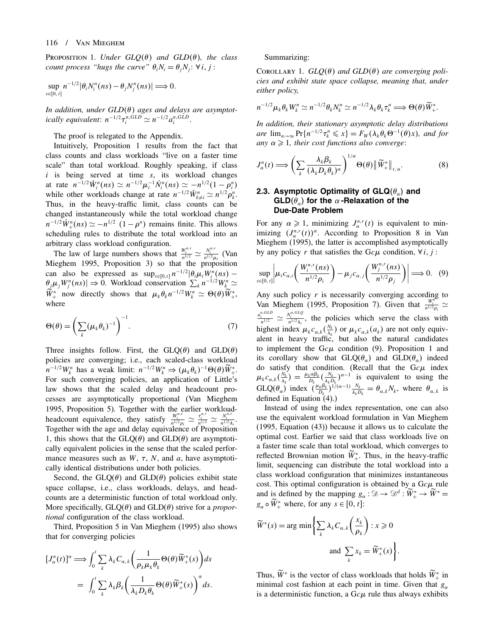**PROPOSITION 1.** Under  $GLQ(\theta)$  and  $GLD(\theta)$ , the class count process "hugs the curve"  $\theta_i N_i = \theta_j N_j$ :  $\forall i, j$ :

$$
\sup_{s\in[0, t]} n^{-1/2} |\theta_i N_i^n(ns) - \theta_j N_j^n(ns)| \Longrightarrow 0.
$$

In addition, under  $GLD(\theta)$  ages and delays are asymptotically equivalent:  $n^{-1/2} \tau_i^{n, GLD} \simeq n^{-1/2} a_i^{n, GLD}$ .

The proof is relegated to the Appendix.

Intuitively, Proposition 1 results from the fact that class counts and class workloads "live on a faster time scale" than total workload. Roughly speaking, if class  $i$  is being served at time  $s$ , its workload changes at rate  $n^{-1/2} \dot{W}_i^n(ns) \simeq n^{-1/2} \mu_i^{-1} \dot{N}_i^n(ns) \simeq -n^{1/2} (1 - \rho_i^n)$ while other workloads change at rate  $n^{-1/2} \dot{W}^n_{k \neq i} \simeq n^{1/2} \rho^n_k$ . Thus, in the heavy-traffic limit, class counts can be changed instantaneously while the total workload change  $n^{-1/2}W_{+}^{n}(ns) \simeq -n^{1/2} (1 - \rho^{n})$  remains finite. This allows scheduling rules to distribute the total workload into an arbitrary class workload configuration.

The law of large numbers shows that  $\frac{W_i^{n,r}}{n^{1/2}} \simeq \frac{N_i^{n,r}}{n^{1/2}\mu_i}$  (Van Mieghem 1995, Proposition 3) so that the proposition can also be expressed as  $\sup_{s\in[0,t]} n^{-1/2} |\theta_i \mu_i W_i^n(ns) \theta_j \mu_j W_j^n(ns) \Rightarrow 0$ . Workload conservation  $\sum_k n^{-1/2}W_k^n \simeq$  $\widetilde{W}_+^*$  now directly shows that  $\mu_k \theta_k n^{-1/2} W_k^n \simeq \Theta(\theta) \widetilde{W}_+^*$ , where

$$
\Theta(\theta) = \left(\sum_{k} (\mu_k \theta_k)^{-1}\right)^{-1}.\tag{7}
$$

Three insights follow. First, the  $GLQ(\theta)$  and  $GLD(\theta)$ policies are converging; i.e., each scaled-class workload  $n^{-1/2}W_k^n$  has a weak limit:  $n^{-1/2}W_k^n \Rightarrow (\mu_k \theta_k)^{-1} \Theta(\theta) \tilde{W}_+^*$ . For such converging policies, an application of Little's law shows that the scaled delay and headcount processes are asymptotically proportional (Van Mieghem 1995, Proposition 5). Together with the earlier workloadheadcount equivalence, they satisfy  $\frac{W_i^{n,r}}{n^{1/2}\rho_i} \simeq \frac{\tau_i^{n,r}}{n^{1/2}} \simeq \frac{N_i^{n,r}}{n^{1/2}\lambda_i}$ . Together with the age and delay equivalence of Proposition 1, this shows that the  $GLQ(\theta)$  and  $GLD(\theta)$  are asymptotically equivalent policies in the sense that the scaled performance measures such as  $W$ ,  $\tau$ ,  $N$ , and  $a$ , have asymptotically identical distributions under both policies.

Second, the  $GLQ(\theta)$  and  $GLD(\theta)$  policies exhibit state space collapse, i.e., class workloads, delays, and headcounts are a deterministic function of total workload only. More specifically,  $GLQ(\theta)$  and  $GLD(\theta)$  strive for a *propor*tional configuration of the class workload.

Third, Proposition 5 in Van Mieghem (1995) also shows that for converging policies

$$
[J_{\alpha}^{n}(t)]^{\alpha} \Longrightarrow \int_{0}^{t} \sum_{k} \lambda_{k} C_{\alpha,k} \left( \frac{1}{\rho_{k} \mu_{k} \theta_{k}} \Theta(\theta) \widetilde{W}_{+}^{*}(s) \right) ds
$$
  

$$
= \int_{0}^{t} \sum_{k} \lambda_{k} \beta_{k} \left( \frac{1}{\lambda_{k} D_{k} \theta_{k}} \Theta(\theta) \widetilde{W}_{+}^{*}(s) \right)^{\alpha} ds.
$$

#### Summarizing:

COROLLARY 1.  $GLQ(\theta)$  and  $GLD(\theta)$  are converging policies and exhibit state space collapse, meaning that, under either policy,

$$
n^{-1/2}\mu_k\theta_k W_k^n \simeq n^{-1/2}\theta_k N_k^n \simeq n^{-1/2}\lambda_k\theta_k \tau_k^n \Longrightarrow \Theta(\theta)\widetilde{W}_+^*.
$$

In addition, their stationary asymptotic delay distributions are  $\lim_{n\to\infty} \Pr\{n^{-1/2}\tau_k^n \leq x\} = F_W(\lambda_k \theta_k \Theta^{-1}(\theta)x)$ , and for any  $\alpha \geqslant 1$ , their cost functions also converge:

$$
J_{\alpha}^{n}(t) \Longrightarrow \left(\sum_{k} \frac{\lambda_{k} \beta_{k}}{(\lambda_{k} D_{k} \theta_{k})^{\alpha}}\right)^{1/\alpha} \Theta(\theta) \left\|\widetilde{W}_{+}^{*}\right\|_{t, \alpha}.
$$
 (8)

### 2.3. Asymptotic Optimality of GLQ $(\theta_\alpha)$  and GLD $(\theta_\alpha)$  for the  $\alpha$  -Relaxation of the Due-Date Problem

For any  $\alpha \geq 1$ , minimizing  $J_{\alpha}^{n,r}(t)$  is equivalent to minimizing  $(J_\alpha^{n,r}(t))^\alpha$ . According to Proposition 8 in Van Mieghem (1995), the latter is accomplished asymptotically by any policy r that satisfies the Gc $\mu$  condition,  $\forall i, j$ :

$$
\sup_{s\in[0,\,t]}\left|\mu_{i}c_{\alpha,i}\left(\frac{W_{i}^{n,r}(ns)}{n^{1/2}\rho_{i}}\right)-\mu_{j}c_{\alpha,j}\left(\frac{W_{j}^{n,r}(ns)}{n^{1/2}\rho_{j}}\right)\right|\Longrightarrow 0.\quad(9)
$$

Any such policy  $r$  is necessarily converging according to Van Mieghem (1995, Proposition 7). Given that  $\frac{W_i^m}{n^{1/2} \rho_i} \simeq$  $rac{a_i^{n,GLD}}{n^{1/2}} \simeq \frac{N_i^{n,GLO}}{n^{1/2}\lambda_i}$ , the policies which serve the class with highest index  $\mu_k c_{\alpha,k} \left( \frac{N_k}{\lambda_k} \right)$  or  $\mu_k c_{\alpha,k} (a_k)$  are not only equivalent in heavy traffic, but also the natural candidates to implement the Gc $\mu$  condition (9). Proposition 1 and its corollary show that  $GLQ(\theta_\alpha)$  and  $GLD(\theta_\alpha)$  indeed do satisfy that condition. (Recall that the  $Gc\mu$  index  $\mu_k c_{\alpha,k} \left( \frac{N_k}{\lambda_k} \right) = \frac{\mu_k \alpha \beta_k}{D_k} \left( \frac{N_k}{\lambda_k D_k} \right)^{\alpha - 1}$  is equivalent to using the  $GLQ(\theta_{\alpha})$  index  $(\frac{\mu_k \beta_k}{D_k})^{1/(\alpha-1)} \frac{N_k}{\lambda_k D_k} = \theta_{\alpha,k} N_k$ , where  $\theta_{\alpha,k}$  is defined in Equation  $(4)$ .)

Instead of using the index representation, one can also use the equivalent workload formulation in Van Mieghem (1995, Equation (43)) because it allows us to calculate the optimal cost. Earlier we said that class workloads live on a faster time scale than total workload, which converges to reflected Brownian motion  $W^*$ . Thus, in the heavy-traffic limit, sequencing can distribute the total workload into a class workload configuration that minimizes instantaneous cost. This optimal configuration is obtained by a  $Gc\mu$  rule and is defined by the mapping  $g_{\alpha}: \mathfrak{D} \to \mathfrak{D}^d : \tilde{W}_+^* \to \tilde{W}^* =$  $g_{\alpha} \circ W_{+}^*$  where, for any  $s \in [0, t]$ :

$$
\widetilde{W}^*(s) = \arg\min\left\{\sum_k \lambda_k C_{\alpha,k} \left(\frac{x_k}{\rho_k}\right) : x \geqslant 0\right\}
$$
  
and 
$$
\sum_k x_k = \widetilde{W}^*_+(s)\left\}.
$$

Thus,  $W^*$  is the vector of class workloads that holds  $W^*$  in minimal cost fashion at each point in time. Given that  $g_{\alpha}$ is a deterministic function, a  $Gc\mu$  rule thus always exhibits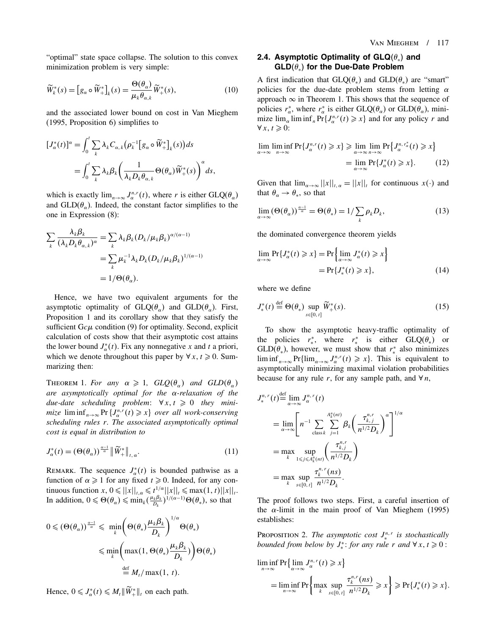"optimal" state space collapse. The solution to this convex minimization problem is very simple:

$$
\widetilde{W}_k^*(s) = \left[g_\alpha \circ \widetilde{W}_+^*\right]_k(s) = \frac{\Theta(\theta_\alpha)}{\mu_k \theta_{\alpha,k}} \widetilde{W}_+^*(s),\tag{10}
$$

and the associated lower bound on cost in Van Mieghem (1995, Proposition 6) simplifies to

$$
[J_{\alpha}^{*}(t)]^{\alpha} = \int_{0}^{t} \sum_{k} \lambda_{k} C_{\alpha,k} (\rho_{k}^{-1} [g_{\alpha} \circ \widetilde{W}_{+}^{*}]_{k}(s)) ds
$$
  
= 
$$
\int_{0}^{t} \sum_{k} \lambda_{k} \beta_{k} (\frac{1}{\lambda_{k} D_{k} \theta_{\alpha,k}} \Theta(\theta_{\alpha}) \widetilde{W}_{+}^{*}(s))^{\alpha} ds,
$$

which is exactly  $\lim_{n\to\infty} J_{\alpha}^{n,r}(t)$ , where r is either  $GLQ(\theta_{\alpha})$ and  $GLD(\theta_{\alpha})$ . Indeed, the constant factor simplifies to the one in Expression (8):

$$
\sum_{k} \frac{\lambda_{k} \beta_{k}}{(\lambda_{k} D_{k} \theta_{\alpha,k})^{\alpha}} = \sum_{k} \lambda_{k} \beta_{k} (D_{k} / \mu_{k} \beta_{k})^{\alpha/(\alpha-1)}
$$
  
= 
$$
\sum_{k} \mu_{k}^{-1} \lambda_{k} D_{k} (D_{k} / \mu_{k} \beta_{k})^{1/(\alpha-1)}
$$
  
= 
$$
1/\Theta(\theta_{\alpha}).
$$

Hence, we have two equivalent arguments for the asymptotic optimality of  $GLQ(\theta_\alpha)$  and  $GLD(\theta_\alpha)$ . First, Proposition 1 and its corollary show that they satisfy the sufficient  $Gc\mu$  condition (9) for optimality. Second, explicit calculation of costs show that their asymptotic cost attains the lower bound  $J^*_{\alpha}(t)$ . Fix any nonnegative x and t a priori, which we denote throughout this paper by  $\forall x, t \ge 0$ . Summarizing then:

THEOREM 1. For any  $\alpha \geqslant 1$ ,  $GLQ(\theta_{\alpha})$  and  $GLD(\theta_{\alpha})$ are asymptotically optimal for the  $\alpha$ -relaxation of the due-date scheduling problem:  $\forall x, t \geq 0$  they minimize  $\liminf_{n\to\infty}$  Pr $\{J^{n,r}_{\alpha}(t)\geq x\}$  over all work-conserving scheduling rules r. The associated asymptotically optimal cost is equal in distribution to

$$
J_{\alpha}^*(t) = \left(\Theta(\theta_{\alpha})\right)^{\frac{\alpha-1}{\alpha}} \left\| \widetilde{W}^*_+\right\|_{t,\,\alpha}.\tag{11}
$$

REMARK. The sequence  $J^*_{\alpha}(t)$  is bounded pathwise as a function of  $\alpha \geq 1$  for any fixed  $t \geq 0$ . Indeed, for any continuous function  $x, 0 \le ||x||_{t,\alpha} \le t^{1/\alpha} ||x||_t \le \max(1, t) ||x||_t$ . In addition,  $0 \le \Theta(\theta_\alpha) \le \min_k (\frac{\mu_k \beta_k}{D_k})^{1/(\alpha-1)} \Theta(\theta_*)$ , so that

$$
0 \leq (\Theta(\theta_{\alpha}))^{\frac{\alpha-1}{\alpha}} \leq \min_{k} \left(\Theta(\theta_{*}) \frac{\mu_{k} \beta_{k}}{D_{k}}\right)^{1/\alpha} \Theta(\theta_{*})
$$

$$
\leq \min_{k} \left(\max(1, \Theta(\theta_{*}) \frac{\mu_{k} \beta_{k}}{D_{k}})\right) \Theta(\theta_{*})
$$

$$
\stackrel{\text{def}}{=} M_{t} / \max(1, t).
$$

Hence,  $0 \leq J^*_{\alpha}(t) \leq M_t \|\tilde{W}^*_{+}\|_t$  on each path.

# 2.4. Asymptotic Optimality of  $\mathbf{GLQ}(\theta_*)$  and  $\mathsf{GLD}(\theta_*)$  for the Due-Date Problem

A first indication that  $GLQ(\theta_*)$  and  $GLD(\theta_*)$  are "smart" policies for the due-date problem stems from letting  $\alpha$ approach  $\infty$  in Theorem 1. This shows that the sequence of policies  $r^*_{\alpha}$ , where  $r^*_{\alpha}$  is either  $GLQ(\theta_{\alpha})$  or  $GLD(\theta_{\alpha})$ , minimize  $\lim_{\alpha} \liminf_{n} Pr\{J_{\alpha}^{n,r}(t) \geq x\}$  and for any policy r and  $\forall x, t \geqslant 0$ :

$$
\lim_{\alpha \to \infty} \liminf_{n \to \infty} \Pr\{J_{\alpha}^{n,r}(t) \geq x\} \geq \lim_{\alpha \to \infty} \limsup_{n \to \infty} \Pr\{J_{\alpha}^{n,r_{\alpha}^{*}}(t) \geq x\}
$$
\n
$$
= \lim_{\alpha \to \infty} \Pr\{J_{\alpha}^{*}(t) \geq x\}. \tag{12}
$$

Given that  $\lim_{\alpha \to \infty} ||x||_{t,\alpha} = ||x||_{t}$  for continuous  $x(\cdot)$  and that  $\theta_{\alpha} \rightarrow \theta_{*}$ , so that

$$
\lim_{\alpha \to \infty} (\Theta(\theta_{\alpha}))^{\frac{\alpha - 1}{\alpha}} = \Theta(\theta_{*}) = 1/\sum_{k} \rho_{k} D_{k},
$$
\n(13)

the dominated convergence theorem yields

$$
\lim_{\alpha \to \infty} \Pr\{J_{\alpha}^*(t) \geq x\} = \Pr\left\{\lim_{\alpha \to \infty} J_{\alpha}^*(t) \geq x\right\}
$$
\n
$$
= \Pr\{J_*^*(t) \geq x\},\tag{14}
$$

where we define

$$
J_*^*(t) \stackrel{\text{def}}{=} \Theta(\theta_*) \sup_{s \in [0, t]} \widetilde{W}_+^*(s). \tag{15}
$$

To show the asymptotic heavy-traffic optimality of the policies  $r^*$ , where  $r^*$  is either  $GLQ(\theta_*)$  or  $GLD(\theta_*)$ , however, we must show that  $r^*$  also minimizes  $\liminf_{n\to\infty}$  Pr{ $\lim_{\alpha\to\infty} J_{\alpha}^{n,r}(t) \geq x$ . This is equivalent to asymptotically minimizing maximal violation probabilities because for any rule r, for any sample path, and  $\forall n$ ,

$$
J_{*}^{n,r}(t) \stackrel{\text{def}}{=} \lim_{\alpha \to \infty} J_{\alpha}^{n,r}(t)
$$
  
\n
$$
= \lim_{\alpha \to \infty} \left[ n^{-1} \sum_{\text{class } k} \sum_{j=1}^{A_{k}^{n}(nt)} \beta_{k} \left( \frac{\tau_{k,j}^{n,r}}{n^{1/2} D_{k}} \right)^{\alpha} \right]^{1/\alpha}
$$
  
\n
$$
= \max_{k} \sup_{1 \leq j \leq A_{k}^{n}(nt)} \left( \frac{\tau_{k,j}^{n,r}}{n^{1/2} D_{k}} \right)
$$
  
\n
$$
= \max_{k} \sup_{s \in [0, t]} \frac{\tau_{k}^{n,r}(ns)}{n^{1/2} D_{k}}.
$$

The proof follows two steps. First, a careful insertion of the  $\alpha$ -limit in the main proof of Van Mieghem (1995) establishes:

PROPOSITION 2. The asymptotic cost  $J^{n,r}_*$  is stochastically bounded from below by  $J^*_*$ : for any rule r and  $\forall x, t \geq 0$ :

$$
\liminf_{n \to \infty} \Pr \{ \lim_{\alpha \to \infty} J_{\alpha}^{n,r}(t) \geq x \}
$$
\n
$$
= \liminf_{n \to \infty} \Pr \{ \max_{k} \sup_{s \in [0, t]} \frac{\tau_k^{n,r}(ns)}{n^{1/2} D_k} \geq x \} \geq \Pr \{ J_*^*(t) \geq x \}.
$$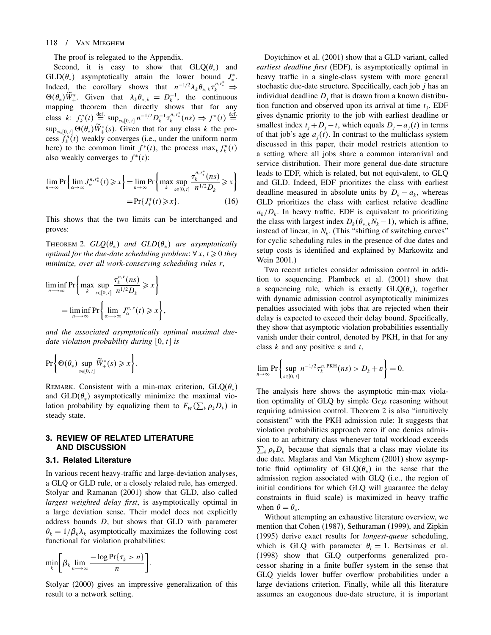### 118 / Van Mieghem

The proof is relegated to the Appendix.

Second, it is easy to show that  $GLQ(\theta_*)$  and  $GLD(\theta_*)$  asymptotically attain the lower bound  $J^*$ . Indeed, the corollary shows that  $n^{-1/2}\lambda_k \theta_{*,k} \tau_k^{n,r_*^*} \Rightarrow$  $\Theta(\theta_*)\tilde{W}_+^*$ . Given that  $\lambda_k \theta_{*,k} = D_k^{-1}$ , the continuous mapping theorem then directly shows that for any class k:  $f_k^n(t) \stackrel{\text{def.}}{=} \sup_{s \in [0, t]} n^{-1/2} D_k^{-1} \tau_k^{n, r_*^*}(ns) \Rightarrow f^*(t) \stackrel{\text{def.}}{=}$  $\sup_{s \in [0, t]} \Theta(\theta_*) W_+^*(s)$ . Given that for any class k the process  $f_k^n(t)$  weakly converges (i.e., under the uniform norm here) to the common limit  $f^*(t)$ , the process  $\max_k f_k^n(t)$ also weakly converges to  $f^*(t)$ :

$$
\lim_{n \to \infty} \Pr \left\{ \lim_{\alpha \to \infty} J_{\alpha}^{n, r_*^*}(t) \geq x \right\} = \lim_{n \to \infty} \Pr \left\{ \max_{k} \sup_{s \in [0, t]} \frac{\tau_k^{n, r_*^*}(ns)}{n^{1/2} D_k} \geq x \right\}
$$
\n
$$
= \Pr \{ J_*^*(t) \geq x \}. \tag{16}
$$

This shows that the two limits can be interchanged and proves:

THEOREM 2.  $GLQ(\theta_*)$  and  $GLD(\theta_*)$  are asymptotically optimal for the due-date scheduling problem:  $\forall x, t \geq 0$  they minimize, over all work-conserving scheduling rules r,

$$
\liminf_{n \to \infty} \Pr \left\{ \max_{k} \sup_{s \in [0, t]} \frac{\tau_k^{n, r}(ns)}{n^{1/2} D_k} \geq x \right\}
$$

$$
= \liminf_{n \to \infty} \Pr \left\{ \lim_{\alpha \to \infty} J_{\alpha}^{n, r}(t) \geq x \right\},\
$$

and the associated asymptotically optimal maximal duedate violation probability during  $[0, t]$  is

$$
\Pr\bigg\{\Theta(\theta_*)\sup_{s\in[0,\,t]}\widetilde{W}^*_+(s)\geqslant x\bigg\}.
$$

REMARK. Consistent with a min-max criterion,  $GLQ(\theta_*)$ and  $GLD(\theta_*)$  asymptotically minimize the maximal violation probability by equalizing them to  $F_w(\sum_k \rho_k D_k)$  in steady state.

### 3. REVIEW OF RELATED LITERATURE AND DISCUSSION

### 3.1. Related Literature

In various recent heavy-traffic and large-deviation analyses, a GLQ or GLD rule, or a closely related rule, has emerged. Stolyar and Ramanan (2001) show that GLD, also called largest weighted delay first, is asymptotically optimal in a large deviation sense. Their model does not explicitly address bounds D, but shows that GLD with parameter  $\theta_k = 1/\beta_k \lambda_k$  asymptotically maximizes the following cost functional for violation probabilities:

$$
\min_{k} \bigg[ \beta_k \lim_{n \to \infty} \frac{-\log \Pr\{\tau_k > n\}}{n} \bigg].
$$

Stolyar (2000) gives an impressive generalization of this result to a network setting.

Doytchinov et al. (2001) show that a GLD variant, called earliest deadline first (EDF), is asymptotically optimal in heavy traffic in a single-class system with more general stochastic due-date structure. Specifically, each job j has an individual deadline  $D_i$  that is drawn from a known distribution function and observed upon its arrival at time  $t_i$ . EDF gives dynamic priority to the job with earliest deadline or smallest index  $t_i + D_i - t$ , which equals  $D_i - a_i(t)$  in terms of that job's age  $a_i(t)$ . In contrast to the multiclass system discussed in this paper, their model restricts attention to a setting where all jobs share a common interarrival and service distribution. Their more general due-date structure leads to EDF, which is related, but not equivalent, to GLQ and GLD. Indeed, EDF prioritizes the class with earliest deadline measured in absolute units by  $D_k - a_k$ , whereas GLD prioritizes the class with earliest relative deadline  $a_k/D_k$ . In heavy traffic, EDF is equivalent to prioritizing the class with largest index  $D_k(\theta_{*,k}N_k-1)$ , which is affine, instead of linear, in  $N_k$ . (This "shifting of switching curves" for cyclic scheduling rules in the presence of due dates and setup costs is identified and explained by Markowitz and Wein 2001.)

Two recent articles consider admission control in addition to sequencing. Plambeck et al. (2001) show that a sequencing rule, which is exactly  $GLQ(\theta_*)$ , together with dynamic admission control asymptotically minimizes penalties associated with jobs that are rejected when their delay is expected to exceed their delay bound. Specifically, they show that asymptotic violation probabilities essentially vanish under their control, denoted by PKH, in that for any class k and any positive  $\varepsilon$  and t,

$$
\lim_{n\to\infty}\Pr\bigg\{\sup_{s\in[0,\,t]}n^{-1/2}\tau_k^{n,\,\text{PKH}}(ns)>D_k+\varepsilon\bigg\}=0.
$$

The analysis here shows the asymptotic min-max violation optimality of GLQ by simple  $Gc\mu$  reasoning without requiring admission control. Theorem 2 is also "intuitively consistent" with the PKH admission rule: It suggests that violation probabilities approach zero if one denies admission to an arbitrary class whenever total workload exceeds  $\sum_{k} \rho_k D_k$  because that signals that a class may violate its due date. Maglaras and Van Mieghem (2001) show asymptotic fluid optimality of  $GLQ(\theta_*)$  in the sense that the admission region associated with GLQ (i.e., the region of initial conditions for which GLQ will guarantee the delay constraints in fluid scale) is maximized in heavy traffic when  $\theta = \theta_*$ .

Without attempting an exhaustive literature overview, we mention that Cohen (1987), Sethuraman (1999), and Zipkin (1995) derive exact results for longest-queue scheduling, which is GLQ with parameter  $\theta_i = 1$ . Bertsimas et al. (1998) show that GLQ outperforms generalized processor sharing in a finite buffer system in the sense that GLQ yields lower buffer overflow probabilities under a large deviations criterion. Finally, while all this literature assumes an exogenous due-date structure, it is important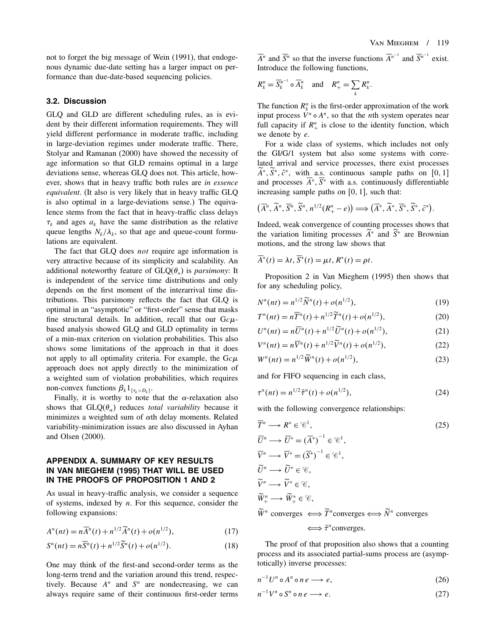not to forget the big message of Wein (1991), that endogenous dynamic due-date setting has a larger impact on performance than due-date-based sequencing policies.

### 3.2. Discussion

GLQ and GLD are different scheduling rules, as is evident by their different information requirements. They will yield different performance in moderate traffic, including in large-deviation regimes under moderate traffic. There, Stolyar and Ramanan (2000) have showed the necessity of age information so that GLD remains optimal in a large deviations sense, whereas GLQ does not. This article, however, shows that in heavy traffic both rules are in essence equivalent. (It also is very likely that in heavy traffic GLQ is also optimal in a large-deviations sense.) The equivalence stems from the fact that in heavy-traffic class delays  $\tau_k$  and ages  $a_k$  have the same distribution as the relative queue lengths  $N_k/\lambda_k$ , so that age and queue-count formulations are equivalent.

The fact that GLQ does *not* require age information is very attractive because of its simplicity and scalability. An additional noteworthy feature of  $GLQ(\theta_*)$  is *parsimony*: It is independent of the service time distributions and only depends on the first moment of the interarrival time distributions. This parsimony reflects the fact that GLQ is optimal in an "asymptotic" or "first-order" sense that masks fine structural details. In addition, recall that our  $Gc\mu$ based analysis showed GLQ and GLD optimality in terms of a min-max criterion on violation probabilities. This also shows some limitations of the approach in that it does not apply to all optimality criteria. For example, the  $Gc\mu$ approach does not apply directly to the minimization of a weighted sum of violation probabilities, which requires non-convex functions  $\beta_k 1_{\{\tau_k > D_k\}}$ .

Finally, it is worthy to note that the  $\alpha$ -relaxation also shows that  $GLQ(\theta_\alpha)$  reduces *total variability* because it minimizes a weighted sum of  $\alpha$ th delay moments. Related variability-minimization issues are also discussed in Ayhan and Olsen (2000).

### APPENDIX A. SUMMARY OF KEY RESULTS IN VAN MIEGHEM (1995) THAT WILL BE USED IN THE PROOFS OF PROPOSITION 1 AND 2

As usual in heavy-traffic analysis, we consider a sequence of systems, indexed by  $n$ . For this sequence, consider the following expansions:

$$
A^{n}(nt) = n\overline{A}^{n}(t) + n^{1/2}\widetilde{A}^{n}(t) + o(n^{1/2}),
$$
\n(17)

$$
S^{n}(nt) = n\overline{S}^{n}(t) + n^{1/2}\widetilde{S}^{n}(t) + o(n^{1/2}).
$$
\n(18)

One may think of the first-and second-order terms as the long-term trend and the variation around this trend, respectively. Because  $A^n$  and  $S^n$  are nondecreasing, we can always require same of their continuous first-order terms

 $\overline{A}^n$  and  $\overline{S}^n$  so that the inverse functions  $\overline{A}^{n-1}$  and  $\overline{S}^{n-1}$  exist. Introduce the following functions,

$$
R_k^n = \overline{S_k^{n-1}} \circ \overline{A_k}^n \quad \text{and} \quad R_+^n = \sum_k R_k^n.
$$

The function  $R_k^n$  is the first-order approximation of the work input process  $V^n \circ A^n$ , so that the *n*th system operates near full capacity if  $R_+^n$  is close to the identity function, which we denote by e.

For a wide class of systems, which includes not only the GI/G/1 system but also some systems with correlated arrival and service processes, there exist processes  $A^*, S^*, \tilde{c}^*,$  with a.s. continuous sample paths on [0, 1] and processes  $A^*$ ,  $S^*$  with a.s. continuously differentiable increasing sample paths on  $[0, 1]$ , such that:

$$
(\overline{A}^n, \widetilde{A}^n, \overline{S}^n, \widetilde{S}^n, n^{1/2}(R_+^n - e)) \Longrightarrow (\overline{A}^*, \widetilde{A}^*, \overline{S}^*, \widetilde{S}^*, \widetilde{c}^*).
$$

Indeed, weak convergence of counting processes shows that the variation limiting processes  $A^*$  and  $S^*$  are Brownian motions, and the strong law shows that

$$
\overline{A}^*(t) = \lambda t, \overline{S}^*(t) = \mu t, R^*(t) = \rho t.
$$

Proposition 2 in Van Mieghem (1995) then shows that for any scheduling policy,

$$
N^{n}(nt) = n^{1/2} \widetilde{N}^{n}(t) + o(n^{1/2}),
$$
\n(19)

$$
T^{n}(nt) = n\overline{T}^{n}(t) + n^{1/2}\widetilde{T}^{n}(t) + o(n^{1/2}),
$$
\n(20)

$$
U^{n}(nt) = n\overline{U}^{n}(t) + n^{1/2}\widetilde{U}^{n}(t) + o(n^{1/2}),
$$
\n(21)

$$
V^{n}(nt) = n\overline{V}^{n}(t) + n^{1/2}\widetilde{V}^{n}(t) + o(n^{1/2}),
$$
\n(22)

$$
W^{n}(nt) = n^{1/2} \widetilde{W}^{n}(t) + o(n^{1/2}),
$$
\n(23)

and for FIFO sequencing in each class,

$$
\tau^{n}(nt) = n^{1/2} \tilde{\tau}^{n}(t) + o(n^{1/2}),
$$
\n(24)

with the following convergence relationships:

$$
\overline{T}^n \longrightarrow R^* \in \mathcal{C}^1,
$$
\n
$$
\overline{U}^n \longrightarrow \overline{U}^* = (\overline{A}^*)^{-1} \in \mathcal{C}^1,
$$
\n
$$
\overline{V}^n \longrightarrow \overline{V}^* = (\overline{S}^*)^{-1} \in \mathcal{C}^1,
$$
\n
$$
\widetilde{U}^n \longrightarrow \widetilde{U}^* \in \mathcal{C},
$$
\n
$$
\widetilde{V}^n \longrightarrow \widetilde{V}^* \in \mathcal{C},
$$
\n
$$
\widetilde{W}^n \longrightarrow \widetilde{W}^* \in \mathcal{C},
$$
\n
$$
\widetilde{W}^n \longrightarrow \widetilde{W}^* \in \mathcal{C},
$$
\n
$$
\widetilde{W}^n \text{ converges} \iff \widetilde{T}^n \text{ converges} \iff \widetilde{N}^n \text{ converges}
$$
\n
$$
\iff \widetilde{\tau}^n \text{ converges}.
$$
\n(25)

The proof of that proposition also shows that a counting process and its associated partial-sums process are (asymptotically) inverse processes:

$$
n^{-1}U^n \circ A^n \circ n \, e \longrightarrow e,\tag{26}
$$

$$
n^{-1}V^n \circ S^n \circ n \, e \longrightarrow e. \tag{27}
$$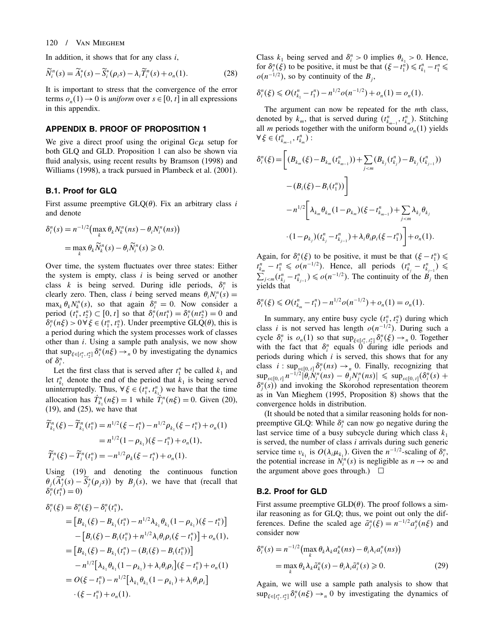### 120 / Van Mieghem

In addition, it shows that for any class  $i$ ,

$$
\widetilde{N}_i^n(s) = \widetilde{A}_i^*(s) - \widetilde{S}_i^*(\rho_i s) - \lambda_i \widetilde{T}_i^n(s) + o_n(1). \tag{28}
$$

It is important to stress that the convergence of the error terms  $o_n(1) \rightarrow 0$  is *uniform* over  $s \in [0, t]$  in all expressions in this appendix.

### APPENDIX B. PROOF OF PROPOSITION 1

We give a direct proof using the original  $Gcu$  setup for both GLQ and GLD. Proposition 1 can also be shown via fluid analysis, using recent results by Bramson (1998) and Williams (1998), a track pursued in Plambeck et al. (2001).

### B.1. Proof for GLQ

First assume preemptive  $GLQ(\theta)$ . Fix an arbitrary class i and denote

$$
\delta_i^n(s) = n^{-1/2} \left( \max_k \theta_k N_k^n(ns) - \theta_i N_i^n(ns) \right)
$$
  
= 
$$
\max_k \theta_k \widetilde{N}_k^n(s) - \theta_i \widetilde{N}_i^n(s) \ge 0.
$$

Over time, the system fluctuates over three states: Either the system is empty, class  $i$  is being served or another class k is being served. During idle periods,  $\delta_i^n$  is clearly zero. Then, class *i* being served means  $\theta_i N_i^n(s) =$  $\max_k \theta_k N_k^n(s)$ , so that again  $\delta_i^n = 0$ . Now consider a period  $(t_1^n, t_2^n) \subset [0, t]$  so that  $\delta_i^n(nt_1^n) = \delta_i^n(nt_2^n) = 0$  and  $\delta_i^n(n\xi) > 0 \,\forall \,\xi \in (t_1^n, t_2^n)$ . Under preemptive GLQ( $\theta$ ), this is a period during which the system processes work of classes other than i. Using a sample path analysis, we now show that  $\sup_{\xi \in [t_1^n, t_2^n]} \delta_i^n(n\xi) \to_n 0$  by investigating the dynamics of  $\delta_i^n$ .

Let the first class that is served after  $t_1^n$  be called  $k_1$  and let  $t_{k_1}^n$  denote the end of the period that  $k_1$  is being served uninterruptedly. Thus,  $\forall \xi \in (t_1^n, t_{k_1}^n)$  we have that the time allocation has  $T_{k_1}^n(n\xi) = 1$  while  $T_i^n(n\xi) = 0$ . Given (20), (19), and (25), we have that

$$
\widetilde{T}_{k_1}^n(\xi) - \widetilde{T}_{k_1}^n(t_1^n) = n^{1/2}(\xi - t_1^n) - n^{1/2}\rho_{k_1}(\xi - t_1^n) + o_n(1)
$$
  
=  $n^{1/2}(1 - \rho_{k_1})(\xi - t_1^n) + o_n(1),$   

$$
\widetilde{T}_i^n(\xi) - \widetilde{T}_i^n(t_1^n) = -n^{1/2}\rho_k(\xi - t_1^n) + o_n(1).
$$

Using (19) and denoting the continuous function  $\theta_j(A_j^*(s) - S_j^*(\rho_j s))$  by  $B_j(s)$ , we have that (recall that  $\delta_i^n(t_1^{n}) = 0$ 

$$
\delta_i^n(\xi) = \delta_i^n(\xi) - \delta_i^n(t_1^n),
$$
  
\n
$$
= [B_{k_1}(\xi) - B_{k_1}(t_1^n) - n^{1/2} \lambda_{k_1} \theta_{k_1} (1 - \rho_{k_1}) (\xi - t_1^n)]
$$
  
\n
$$
- [B_i(\xi) - B_i(t_1^n) + n^{1/2} \lambda_i \theta_i \rho_i (\xi - t_1^n)] + o_n(1),
$$
  
\n
$$
= [B_{k_1}(\xi) - B_{k_1}(t_1^n) - (B_i(\xi) - B_i(t_1^n))] - n^{1/2} [\lambda_{k_1} \theta_{k_1} (1 - \rho_{k_1}) + \lambda_i \theta_i \rho_i] (\xi - t_1^n) + o_n(1)
$$
  
\n
$$
= O(\xi - t_1^n) - n^{1/2} [\lambda_{k_1} \theta_{k_1} (1 - \rho_{k_1}) + \lambda_i \theta_i \rho_i]
$$
  
\n
$$
\cdot (\xi - t_1^n) + o_n(1).
$$

Class  $k_1$  being served and  $\delta_i^n > 0$  implies  $\theta_{k_1} > 0$ . Hence, for  $\delta_i^n(\xi)$  to be positive, it must be that  $(\xi - t_1^n) \leq t_{k_1}^n - t_1^n \leq$  $o(n^{-1/2})$ , so by continuity of the  $B_i$ ,

$$
\delta_i^n(\xi) \leqslant O(t_{k_1}^n - t_1^n) - n^{1/2} o(n^{-1/2}) + o_n(1) = o_n(1).
$$

The argument can now be repeated for the *mth* class, denoted by  $k_m$ , that is served during  $(t_{k_{m-1}}^n, t_{k_m}^n)$ . Stitching all *m* periods together with the uniform bound  $o_n(1)$  yields  $\forall \xi \in (t_{k_{m-1}}^n, t_{k_m}^n)$ :

$$
\delta_i^n(\xi) = \left[ (B_{k_m}(\xi) - B_{k_m}(t_{k_{m-1}}^n)) + \sum_{j < m} (B_{k_j}(t_{k_j}^n) - B_{k_j}(t_{k_{j-1}}^n)) - (B_i(\xi) - B_i(t_1^n)) \right] \\
- n^{1/2} \left[ \lambda_{k_m} \theta_{k_m} (1 - \rho_{k_m}) (\xi - t_{k_{m-1}}^n) + \sum_{j < m} \lambda_{k_j} \theta_{k_j} \right. \\
\left. \cdot (1 - \rho_{k_j}) (t_{k_j}^n - t_{k_{j-1}}^n) + \lambda_i \theta_i \rho_i (\xi - t_1^n) \right] + o_n(1).
$$

Again, for  $\delta_i^n(\xi)$  to be positive, it must be that  $(\xi - t_1^n) \le$  $t_{k_m}^n - t_1^n \leqslant o(n^{-1/2})$ . Hence, all periods  $(t_{k_j}^n - t_{k_{j-1}}^n) \leqslant$  $\sum_{j \le m} (t_{k_j}^n - t_{k_{j-1}}^n) \le o(n^{-1/2})$ . The continuity of the  $B_j$  then yields that

$$
\delta_i^n(\xi) \le O(t_{k_m}^n - t_1^n) - n^{1/2} o(n^{-1/2}) + o_n(1) = o_n(1).
$$

In summary, any entire busy cycle  $(t_1^n, t_2^n)$  during which class *i* is not served has length  $o(n^{-1/2})$ . During such a cycle  $\delta_i^n$  is  $o_n(1)$  so that  $\sup_{\xi \in [t_1^n, t_2^n]} \delta_i^n(\xi) \to n^0$ . Together with the fact that  $\delta_i^n$  equals 0 during idle periods and periods during which  $i$  is served, this shows that for any class  $i : \sup_{s \in [0, t]} \delta_i^n(ns) \to_n 0$ . Finally, recognizing that  $\sup_{s \in [0, t]} n^{-1/2} |\theta_i \dot{N}_i^n(ns) - \theta_j N_j^n(ns)| \leq \sup_{s \in [0, t]} (\delta_i^n(s) +$  $\delta_j^n(s)$  and invoking the Skorohod representation theorem as in Van Mieghem (1995, Proposition 8) shows that the convergence holds in distribution.

(It should be noted that a similar reasoning holds for nonpreemptive GLQ: While  $\delta_i^n$  can now go negative during the last service time of a busy subcycle during which class  $k_1$ is served, the number of class  $i$  arrivals during such generic service time  $v_{k_1}$  is  $O(\lambda_i \mu_{k_1})$ . Given the  $n^{-1/2}$ -scaling of  $\delta_i^n$ , the potential increase in  $N_i^n(s)$  is negligible as  $n \to \infty$  and the argument above goes through.)  $\Box$ 

### B.2. Proof for GLD

First assume preemptive  $GLD(\theta)$ . The proof follows a similar reasoning as for GLQ; thus, we point out only the differences. Define the scaled age  $\tilde{a}^n_j(\xi) = n^{-1/2} a^n_j(n\xi)$  and consider now

$$
\delta_i^n(s) = n^{-1/2} \left( \max_k \theta_k \lambda_k a_k^n(ns) - \theta_i \lambda_i a_i^n(ns) \right)
$$
  
= 
$$
\max_k \theta_k \lambda_k \tilde{a}_k^n(s) - \theta_i \lambda_i \tilde{a}_i^n(s) \ge 0.
$$
 (29)

Again, we will use a sample path analysis to show that  $\sup_{\xi \in [t_1^n, t_2^n]} \delta_i^n(n\xi) \to_n 0$  by investigating the dynamics of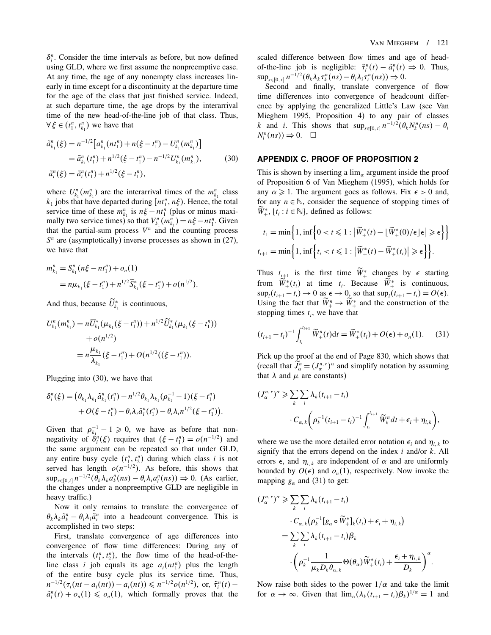$\delta_i^n$ . Consider the time intervals as before, but now defined using GLD, where we first assume the nonpreemptive case. At any time, the age of any nonempty class increases linearly in time except for a discontinuity at the departure time for the age of the class that just finished service. Indeed, at such departure time, the age drops by the interarrival time of the new head-of-the-line job of that class. Thus,  $\forall \xi \in (t_1^n, t_{k_1}^n)$  we have that

$$
\tilde{a}_{k_1}^n(\xi) = n^{-1/2} \Big[ a_{k_1}^n(nt_1^n) + n(\xi - t_1^n) - U_{k_1}^n(m_{k_1}^n) \Big] \n= \tilde{a}_{k_1}^n(t_1^n) + n^{1/2}(\xi - t_1^n) - n^{-1/2} U_{k_1}^n(m_{k_1}^n),
$$
\n(30)\n
$$
\tilde{a}_i^n(\xi) = \tilde{a}_i^n(t_1^n) + n^{1/2}(\xi - t_1^n),
$$

where  $U_{k_1}^n(m_{k_1}^n)$  are the interarrival times of the  $m_{k_1}^n$  class  $k_1$  jobs that have departed during  $[nt_1^n, n\xi)$ . Hence, the total service time of these  $m_{k_1}^n$  is  $n\xi - nt_1^n$  (plus or minus maximally two service times) so that  $V_{k_1}^n(m_{k_1}^n) = n\xi - nt_1^n$ . Given that the partial-sum process  $V<sup>n</sup>$  and the counting process  $S<sup>n</sup>$  are (asymptotically) inverse processes as shown in (27), we have that

$$
m_{k_1}^n = S_{k_1}^n (n\xi - nt_1^n) + o_n(1)
$$
  
=  $n\mu_{k_1}(\xi - t_1^n) + n^{1/2} \widetilde{S}_{k_1}^*(\xi - t_1^n) + o(n^{1/2}).$ 

And thus, because  $U_{k_1}^*$  is continuous,

$$
U_{k_1}^n(m_{k_1}^n) = n \overline{U}_{k_1}^* (\mu_{k_1}(\xi - t_1^n)) + n^{1/2} \widetilde{U}_{k_1}^* (\mu_{k_1}(\xi - t_1^n))
$$
  
+  $o(n^{1/2})$   
=  $n \frac{\mu_{k_1}}{\lambda_{k_1}} (\xi - t_1^n) + O(n^{1/2}((\xi - t_1^n)).$ 

Plugging into (30), we have that

$$
\delta_i^n(\xi) = (\theta_{k_1} \lambda_{k_1} \tilde{a}_{k_1}^n(t_1^n) - n^{1/2} \theta_{k_1} \lambda_{k_1} (\rho_{k_1}^{-1} - 1)(\xi - t_1^n) + O(\xi - t_1^n) - \theta_i \lambda_i \tilde{a}_i^n(t_1^n) - \theta_i \lambda_i n^{1/2}(\xi - t_1^n)).
$$

Given that  $\rho_{k_1}^{-1} - 1 \ge 0$ , we have as before that nonnegativity of  $\delta_i^n(\xi)$  requires that  $(\xi - t_1^n) = o(n^{-1/2})$  and the same argument can be repeated so that under GLD, any entire busy cycle  $(t_1^n, t_2^n)$  during which class i is not served has length  $o(n^{-1/2})$ . As before, this shows that  $\sup_{s \in [0,t]} n^{-1/2} (\theta_k \lambda_k a_k^n(ns) - \theta_i \lambda_i a_i^n(ns)) \Rightarrow 0.$  (As earlier, the changes under a nonpreemptive GLD are negligible in heavy traffic.)

Now it only remains to translate the convergence of  $\theta_k \lambda_k \tilde{a}_k^n - \theta_i \lambda_i \tilde{a}_i^n$  into a headcount convergence. This is accomplished in two steps:

First, translate convergence of age differences into convergence of flow time differences: During any of the intervals  $(t_1^n, t_2^n)$ , the flow time of the head-of-theline class *i* job equals its age  $a_i(nt_1^n)$  plus the length of the entire busy cycle plus its service time. Thus,  $n^{-1/2}(\tau_i(nt - a_i(nt)) - a_i(nt)) \leq n^{-1/2}o(n^{1/2}), \text{ or, } \tilde{\tau}_i^n(t) \tilde{a}_i^n(t) + o_n(1) \leq o_n(1)$ , which formally proves that the scaled difference between flow times and age of headof-the-line job is negligible:  $\tilde{\tau}_i^n(t) - \tilde{a}_i^n(t) \Rightarrow 0$ . Thus,  $\sup_{s \in [0, t]} n^{-1/2} (\theta_k \lambda_k \tau_k^n(ns) - \theta_i \lambda_i \tau_i^n(ns)) \Rightarrow 0.$ 

Second and finally, translate convergence of flow time differences into convergence of headcount difference by applying the generalized Little's Law (see Van Mieghem 1995, Proposition 4) to any pair of classes k and i. This shows that  $\sup_{s \in [0, t]} n^{-1/2} (\theta_k N_k^n(ns) - \theta_k)$  $N_i^n(ns)) \Rightarrow 0. \quad \Box$ 

### APPENDIX C. PROOF OF PROPOSITION 2

This is shown by inserting a  $\lim_{\alpha}$  argument inside the proof of Proposition 6 of Van Mieghem (1995), which holds for any  $\alpha \geq 1$ . The argument goes as follows. Fix  $\epsilon > 0$  and, for any  $n \in \mathbb{N}$ , consider the sequence of stopping times of  $W^*_+$ ,  $\{t_i : i \in \mathbb{N}\}$ , defined as follows:

$$
t_1 = \min\left\{1, \inf\left\{0 < t \leqslant 1 : \left|\widetilde{W}_+^*(t) - \left\lfloor \widetilde{W}_+^*(0)/\epsilon\right\rfloor \epsilon\right| \geqslant \epsilon\right\}\right\}
$$
\n
$$
t_{i+1} = \min\left\{1, \inf\left\{t_i < t \leqslant 1 : \left|\widetilde{W}_+^*(t) - \widetilde{W}_+^*(t_i)\right| \geqslant \epsilon\right\}\right\}.
$$

Thus  $t_{i+1}$  is the first time  $W^*$  changes by  $\epsilon$  starting from  $W^*_+(t_i)$  at time  $t_i$ . Because  $W^*_+$  is continuous,  $\sup_i(t_{i+1} - t_i) \to 0$  as  $\epsilon \to 0$ , so that  $\sup_i(t_{i+1} - t_i) = O(\epsilon)$ . Using the fact that  $\widetilde{W}^n_+ \to \widetilde{W}^*_+$  and the construction of the stopping times  $t_i$ , we have that

$$
(t_{i+1} - t_i)^{-1} \int_{t_i}^{t_{i+1}} \widetilde{W}_+^n(t) dt = \widetilde{W}_+^*(t_i) + O(\epsilon) + o_n(1).
$$
 (31)

Pick up the proof at the end of Page 830, which shows that (recall that  $J_{\alpha}^{n} = (J_{\alpha}^{n,r})^{\alpha}$  and simplify notation by assuming that  $\lambda$  and  $\mu$  are constants)

$$
(J_{\alpha}^{n,r})^{\alpha} \geqslant \sum_{k} \sum_{i} \lambda_{k} (t_{i+1} - t_{i})
$$
  

$$
\cdot C_{\alpha,k} \bigg( \rho_{k}^{-1} (t_{i+1} - t_{i})^{-1} \int_{t_{i}}^{t_{i+1}} \widetilde{W}_{k}^{n} dt + \epsilon_{i} + \eta_{i,k} \bigg),
$$

where we use the more detailed error notation  $\epsilon_i$  and  $\eta_{i,k}$  to signify that the errors depend on the index  $i$  and/or  $k$ . All errors  $\epsilon_i$  and  $\eta_{i,k}$  are independent of  $\alpha$  and are uniformly bounded by  $O(\epsilon)$  and  $o_n(1)$ , respectively. Now invoke the mapping  $g_{\alpha}$  and (31) to get:

$$
(J_{\alpha}^{n,r})^{\alpha} \geqslant \sum_{k} \sum_{i} \lambda_{k} (t_{i+1} - t_{i})
$$
  

$$
\cdot C_{\alpha,k} (\rho_{k}^{-1} [g_{\alpha} \circ \widetilde{W}_{+}^{*}]_{k} (t_{i}) + \epsilon_{i} + \eta_{i,k})
$$
  

$$
= \sum_{k} \sum_{i} \lambda_{k} (t_{i+1} - t_{i}) \beta_{k}
$$
  

$$
\cdot \left( \rho_{k}^{-1} \frac{1}{\mu_{k} D_{k} \theta_{\alpha,k}} \Theta(\theta_{\alpha}) \widetilde{W}_{+}^{*}(t_{i}) + \frac{\epsilon_{i} + \eta_{i,k}}{D_{k}} \right)^{\alpha}.
$$

Now raise both sides to the power  $1/\alpha$  and take the limit for  $\alpha \to \infty$ . Given that  $\lim_{\alpha} (\lambda_k(t_{i+1} - t_i)\beta_k)^{1/\alpha} = 1$  and